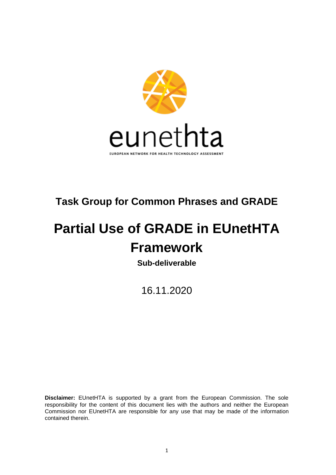

## **Task Group for Common Phrases and GRADE**

# **Partial Use of GRADE in EUnetHTA Framework**

**Sub-deliverable**

16.11.2020

**Disclaimer:** EUnetHTA is supported by a grant from the European Commission. The sole responsibility for the content of this document lies with the authors and neither the European Commission nor EUnetHTA are responsible for any use that may be made of the information contained therein.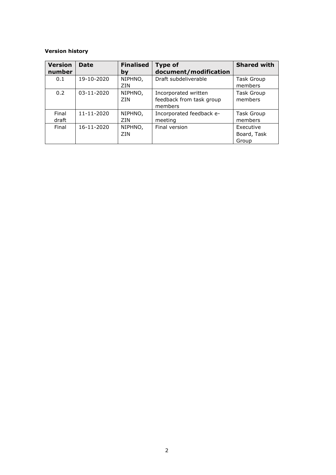#### **Version history**

| <b>Version</b><br>number | <b>Date</b>      | <b>Finalised</b><br>bv | <b>Type of</b><br>document/modification                     | <b>Shared with</b>                |
|--------------------------|------------------|------------------------|-------------------------------------------------------------|-----------------------------------|
| 0.1                      | 19-10-2020       | NIPHNO,<br>ZIN         | Draft subdeliverable                                        | <b>Task Group</b><br>members      |
| 0.2                      | $03 - 11 - 2020$ | NIPHNO,<br>ZIN         | Incorporated written<br>feedback from task group<br>members | <b>Task Group</b><br>members      |
| Final<br>draft           | 11-11-2020       | NIPHNO,<br>ZIN         | Incorporated feedback e-<br>meeting                         | <b>Task Group</b><br>members      |
| Final                    | 16-11-2020       | NIPHNO,<br>7IN         | Final version                                               | Executive<br>Board, Task<br>Group |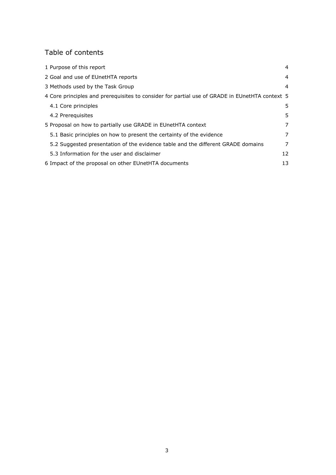## Table of contents

| 1 Purpose of this report                                                                       | 4  |
|------------------------------------------------------------------------------------------------|----|
| 2 Goal and use of EUnetHTA reports                                                             | 4  |
| 3 Methods used by the Task Group                                                               | 4  |
| 4 Core principles and prerequisites to consider for partial use of GRADE in EUnetHTA context 5 |    |
| 4.1 Core principles                                                                            | 5. |
| 4.2 Prereguisites                                                                              | 5. |
| 5 Proposal on how to partially use GRADE in EUnetHTA context                                   | 7  |
| 5.1 Basic principles on how to present the certainty of the evidence                           | 7  |
| 5.2 Suggested presentation of the evidence table and the different GRADE domains               | 7  |
| 5.3 Information for the user and disclaimer                                                    | 12 |
| 6 Impact of the proposal on other EUnetHTA documents                                           | 13 |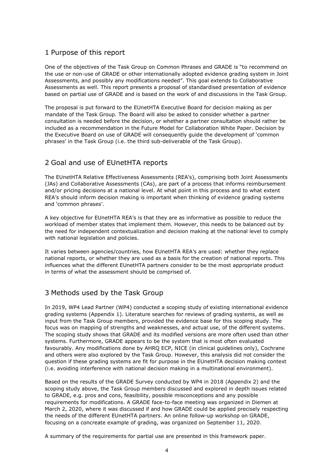## <span id="page-3-0"></span>1 Purpose of this report

One of the objectives of the Task Group on Common Phrases and GRADE is "to recommend on the use or non-use of GRADE or other internationally adopted evidence grading system in Joint Assessments, and possibly any modifications needed". This goal extends to Collaborative Assessments as well. This report presents a proposal of standardised presentation of evidence based on partial use of GRADE and is based on the work of and discussions in the Task Group.

The proposal is put forward to the EUnetHTA Executive Board for decision making as per mandate of the Task Group. The Board will also be asked to consider whether a partner consultation is needed before the decision, or whether a partner consultation should rather be included as a recommendation in the Future Model for Collaboration White Paper. Decision by the Executive Board on use of GRADE will consequently guide the development of 'common phrases' in the Task Group (i.e. the third sub-deliverable of the Task Group).

## <span id="page-3-1"></span>2 Goal and use of EUnetHTA reports

The EUnetHTA Relative Effectiveness Assessments (REA's), comprising both Joint Assessments (JAs) and Collaborative Assessments (CAs), are part of a process that informs reimbursement and/or pricing decisions at a national level. At what point in this process and to what extent REA's should inform decision making is important when thinking of evidence grading systems and 'common phrases'.

A key objective for EUnetHTA REA's is that they are as informative as possible to reduce the workload of member states that implement them. However, this needs to be balanced out by the need for independent contextualization and decision making at the national level to comply with national legislation and policies.

It varies between agencies/countries, how EUnetHTA REA's are used: whether they replace national reports, or whether they are used as a basis for the creation of national reports. This influences what the different EUnetHTA partners consider to be the most appropriate product in terms of what the assessment should be comprised of.

## <span id="page-3-2"></span>3 Methods used by the Task Group

In 2019, WP4 Lead Partner (WP4) conducted a scoping study of existing international evidence grading systems (Appendix 1). Literature searches for reviews of grading systems, as well as input from the Task Group members, provided the evidence base for this scoping study. The focus was on mapping of strengths and weaknesses, and actual use, of the different systems. The scoping study shows that GRADE and its modified versions are more often used than other systems. Furthermore, GRADE appears to be the system that is most often evaluated favourably. Any modifications done by AHRQ ECP, NICE (in clinical guidelines only), Cochrane and others were also explored by the Task Group. However, this analysis did not consider the question if these grading systems are fit for purpose in the EUnetHTA decision making context (i.e. avoiding interference with national decision making in a multinational environment).

Based on the results of the GRADE Survey conducted by WP4 in 2018 (Appendix 2) and the scoping study above, the Task Group members discussed and explored in depth issues related to GRADE, e.g. pros and cons, feasibility, possible misconceptions and any possible requirements for modifications. A GRADE face-to-face meeting was organized in Diemen at March 2, 2020, where it was discussed if and how GRADE could be applied precisely respecting the needs of the different EUnetHTA partners. An online follow-up workshop on GRADE, focusing on a concreate example of grading, was organized on September 11, 2020.

A summary of the requirements for partial use are presented in this framework paper.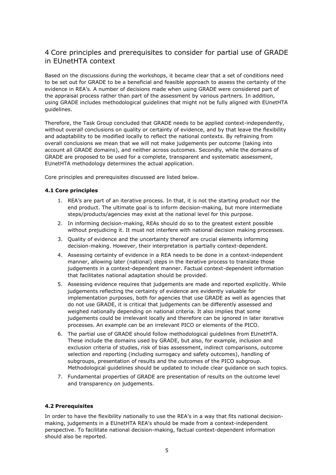## <span id="page-4-0"></span>4 Core principles and prerequisites to consider for partial use of GRADE in EUnetHTA context

Based on the discussions during the workshops, it became clear that a set of conditions need to be set out for GRADE to be a beneficial and feasible approach to assess the certainty of the evidence in REA's. A number of decisions made when using GRADE were considered part of the appraisal process rather than part of the assessment by various partners. In addition, using GRADE includes methodological guidelines that might not be fully aligned with EUnetHTA guidelines.

Therefore, the Task Group concluded that GRADE needs to be applied context-independently, without *overall* conclusions on quality or certainty of evidence, and by that leave the flexibility and adaptability to be modified locally to reflect the national contexts. By refraining from overall conclusions we mean that we will not make judgements per outcome (taking into account all GRADE domains), and neither across outcomes. Secondly, while the domains of GRADE are proposed to be used for a complete, transparent and systematic assessment, EUnetHTA methodology determines the actual application.

Core principles and prerequisites discussed are listed below.

#### <span id="page-4-1"></span>**4.1 Core principles**

- 1. REA's are part of an iterative process. In that, it is not the starting product nor the end product. The ultimate goal is to inform decision-making, but more intermediate steps/products/agencies may exist at the national level for this purpose.
- 2. In informing decision-making, REAs should do so to the greatest extent possible without prejudicing it. It must not interfere with national decision making processes.
- 3. Quality of evidence and the uncertainty thereof are crucial elements informing decision-making. However, their interpretation is partially context-dependent.
- 4. Assessing certainty of evidence in a REA needs to be done in a context-independent manner, allowing later (national) steps in the iterative process to translate those judgements in a context-dependent manner. Factual context-dependent information that facilitates national adaptation should be provided.
- 5. Assessing evidence requires that judgements are made and reported explicitly. While judgements reflecting the certainty of evidence are evidently valuable for implementation purposes, both for agencies that use GRADE as well as agencies that do not use GRADE, it is critical that judgements can be differently assessed and weighed nationally depending on national criteria. It also implies that some judgements could be irrelevant locally and therefore can be ignored in later iterative processes. An example can be an irrelevant PICO or elements of the PICO.
- 6. The partial use of GRADE should follow methodological guidelines from EUnetHTA. These include the domains used by GRADE, but also, for example, inclusion and exclusion criteria of studies, risk of bias assessment, indirect comparisons, outcome selection and reporting (including surrogacy and safety outcomes), handling of subgroups, presentation of results and the outcomes of the PICO subgroup. Methodological guidelines should be updated to include clear guidance on such topics.
- 7. Fundamental properties of GRADE are presentation of results on the outcome level and transparency on judgements.

#### <span id="page-4-2"></span>**4.2 Prerequisites**

In order to have the flexibility nationally to use the REA's in a way that fits national decisionmaking, judgements in a EUnetHTA REA's should be made from a context-independent perspective. To facilitate national decision-making, factual context-dependent information should also be reported.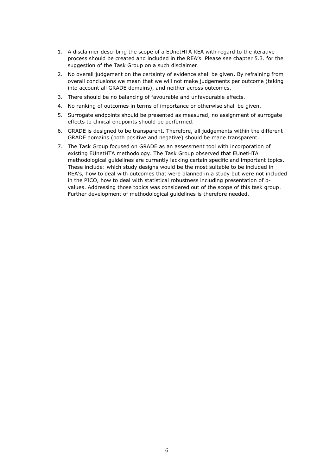- 1. A disclaimer describing the scope of a EUnetHTA REA with regard to the iterative process should be created and included in the REA's. Please see chapter 5.3. for the suggestion of the Task Group on a such disclaimer.
- 2. No overall judgement on the certainty of evidence shall be given, By refraining from overall conclusions we mean that we will not make judgements per outcome (taking into account all GRADE domains), and neither across outcomes.
- 3. There should be no balancing of favourable and unfavourable effects.
- 4. No ranking of outcomes in terms of importance or otherwise shall be given.
- 5. Surrogate endpoints should be presented as measured, no assignment of surrogate effects to clinical endpoints should be performed.
- 6. GRADE is designed to be transparent. Therefore, all judgements within the different GRADE domains (both positive and negative) should be made transparent.
- 7. The Task Group focused on GRADE as an assessment tool with incorporation of existing EUnetHTA methodology. The Task Group observed that EUnetHTA methodological guidelines are currently lacking certain specific and important topics. These include: which study designs would be the most suitable to be included in REA's, how to deal with outcomes that were planned in a study but were not included in the PICO, how to deal with statistical robustness including presentation of pvalues. Addressing those topics was considered out of the scope of this task group. Further development of methodological guidelines is therefore needed.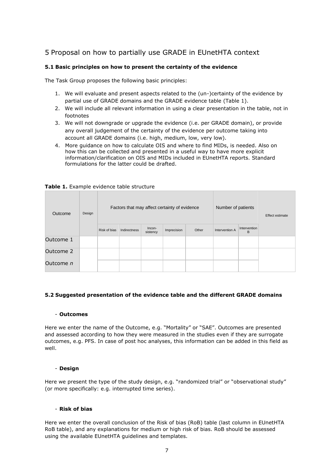## <span id="page-6-0"></span>5 Proposal on how to partially use GRADE in EUnetHTA context

#### <span id="page-6-1"></span>**5.1 Basic principles on how to present the certainty of the evidence**

The Task Group proposes the following basic principles:

- 1. We will evaluate and present aspects related to the (un-)certainty of the evidence by partial use of GRADE domains and the GRADE evidence table (Table 1).
- 2. We will include all relevant information in using a clear presentation in the table, not in footnotes
- 3. We will not downgrade or upgrade the evidence (i.e. per GRADE domain), or provide any overall judgement of the certainty of the evidence per outcome taking into account all GRADE domains (i.e. high, medium, low, very low).
- 4. More guidance on how to calculate OIS and where to find MIDs, is needed. Also on how this can be collected and presented in a useful way to have more explicit information/clarification on OIS and MIDs included in EUnetHTA reports. Standard formulations for the latter could be drafted.

| Outcome   | Design | Factors that may affect certainty of evidence |              |                    |             |       | Number of patients |                   | Effect estimate |  |
|-----------|--------|-----------------------------------------------|--------------|--------------------|-------------|-------|--------------------|-------------------|-----------------|--|
|           |        | Risk of bias                                  | Indirectness | Incon-<br>sistency | Imprecision | Other | Intervention A     | Intervention<br>B |                 |  |
| Outcome 1 |        |                                               |              |                    |             |       |                    |                   |                 |  |
| Outcome 2 |        |                                               |              |                    |             |       |                    |                   |                 |  |
| Outcome n |        |                                               |              |                    |             |       |                    |                   |                 |  |

#### **Table 1.** Example evidence table structure

#### <span id="page-6-2"></span>**5.2 Suggested presentation of the evidence table and the different GRADE domains**

#### - **Outcomes**

Here we enter the name of the Outcome, e.g. "Mortality" or "SAE". Outcomes are presented and assessed according to how they were measured in the studies even if they are surrogate outcomes, e.g. PFS. In case of post hoc analyses, this information can be added in this field as well.

#### - **Design**

Here we present the type of the study design, e.g. "randomized trial" or "observational study" (or more specifically: e.g. interrupted time series).

#### - **Risk of bias**

Here we enter the overall conclusion of the Risk of bias (RoB) table (last column in EUnetHTA RoB table), and any explanations for medium or high risk of bias. RoB should be assessed using the available EUnetHTA guidelines and templates.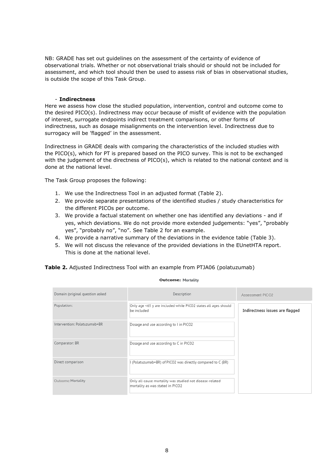NB: GRADE has set out guidelines on the assessment of the certainty of evidence of observational trials. Whether or not observational trials should or should not be included for assessment, and which tool should then be used to assess risk of bias in observational studies, is outside the scope of this Task Group.

#### - **Indirectness**

Here we assess how close the studied population, intervention, control and outcome come to the desired PICO(s). Indirectness may occur because of misfit of evidence with the population of interest, surrogate endpoints indirect treatment comparisons, or other forms of indirectness, such as dosage misalignments on the intervention level. Indirectness due to surrogacy will be 'flagged' in the assessment.

Indirectness in GRADE deals with comparing the characteristics of the included studies with the PICO(s), which for PT is prepared based on the PICO survey. This is not to be exchanged with the judgement of the directness of PICO(s), which is related to the national context and is done at the national level.

The Task Group proposes the following:

- 1. We use the Indirectness Tool in an adjusted format (Table 2).
- 2. We provide separate presentations of the identified studies / study characteristics for the different PICOs per outcome.
- 3. We provide a factual statement on whether one has identified any deviations and if yes, which deviations. We do not provide more extended judgements: "yes", "probably yes", "probably no", "no". See Table 2 for an example.
- 4. We provide a narrative summary of the deviations in the evidence table (Table 3).
- 5. We will not discuss the relevance of the provided deviations in the EUnetHTA report. This is done at the national level.

**Table 2.** Adjusted Indirectness Tool with an example from PTJA06 (polatuzumab)

| Domain (original question asked | Description                                                                                  | Assessment PICO2                |
|---------------------------------|----------------------------------------------------------------------------------------------|---------------------------------|
| Population:                     | Only age <65 y are included while PICO2 states all ages should<br>be included                | Indirectness issues are flagged |
| Intervention: Polatuzumab+BR    | Dosage and use according to I in PICO2                                                       |                                 |
| Comparator: BR                  | Dosage and use according to C in PICO2                                                       |                                 |
| Direct comparison               | I (Polatuzumab+BR) of PICO2 was directly compared to C (BR)                                  |                                 |
| Outcome: Mortality              | Only all-cause mortality was studied not disease-related<br>mortality as was stated in PICO2 |                                 |

#### **Outcome: Mortality**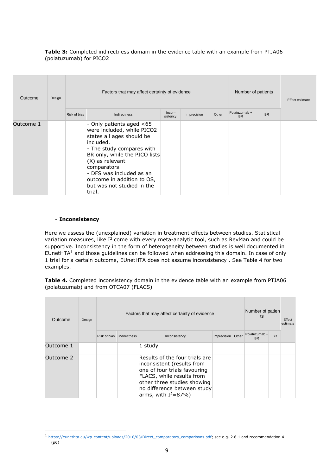#### **Table 3:** Completed indirectness domain in the evidence table with an example from PTJA06 (polatuzumab) for PICO2

| Outcome   | Design |              | Factors that may affect certainty of evidence                                                                                                                                                                                                                                                           |                    | Number of patients   | Effect estimate |                            |           |  |  |
|-----------|--------|--------------|---------------------------------------------------------------------------------------------------------------------------------------------------------------------------------------------------------------------------------------------------------------------------------------------------------|--------------------|----------------------|-----------------|----------------------------|-----------|--|--|
|           |        | Risk of bias | Indirectness                                                                                                                                                                                                                                                                                            | Incon-<br>sistency | Other<br>Imprecision |                 | Polatuzumab +<br><b>BR</b> | <b>BR</b> |  |  |
| Outcome 1 |        |              | - Only patients aged $<65$<br>were included, while PICO2<br>states all ages should be<br>included.<br>- The study compares with<br>BR only, while the PICO lists<br>$(X)$ as relevant<br>comparators.<br>- DFS was included as an<br>outcome in addition to OS,<br>but was not studied in the<br>trial. |                    |                      |                 |                            |           |  |  |

#### - **Inconsistency**

Here we assess the (unexplained) variation in treatment effects between studies. Statistical variation measures, like I<sup>2</sup> come with every meta-analytic tool, such as RevMan and could be supportive. Inconsistency in the form of heterogeneity between studies is well documented in EUnetHTA<sup>1</sup> and those guidelines can be followed when addressing this domain. In case of only 1 trial for a certain outcome, EUnetHTA does not assume inconsistency . See Table 4 for two examples.

**Table 4.** Completed inconsistency domain in the evidence table with an example from PTJA06 (polatuzumab) and from OTCA07 (FLACS)

| Outcome   | Design |              | Factors that may affect certainty of evidence |                                                                                                                                                                                                                    |             |       |                            | Number of patien<br>ts |  |  |
|-----------|--------|--------------|-----------------------------------------------|--------------------------------------------------------------------------------------------------------------------------------------------------------------------------------------------------------------------|-------------|-------|----------------------------|------------------------|--|--|
|           |        | Risk of bias | Indirectness                                  | Inconsistency                                                                                                                                                                                                      | Imprecision | Other | Polatuzumab +<br><b>BR</b> | <b>BR</b>              |  |  |
| Outcome 1 |        |              |                                               | 1 study                                                                                                                                                                                                            |             |       |                            |                        |  |  |
| Outcome 2 |        |              |                                               | Results of the four trials are<br>inconsistent (results from<br>one of four trials favouring<br>FLACS, while results from<br>other three studies showing<br>no difference between study<br>arms, with $I^2=87\%$ ) |             |       |                            |                        |  |  |

 $1$  [https://eunethta.eu/wp-content/uploads/2018/03/Direct\\_comparators\\_comparisons.pdf;](https://eunethta.eu/wp-content/uploads/2018/03/Direct_comparators_comparisons.pdf) see e.g. 2.6.1 and recommendation 4  $(p6)$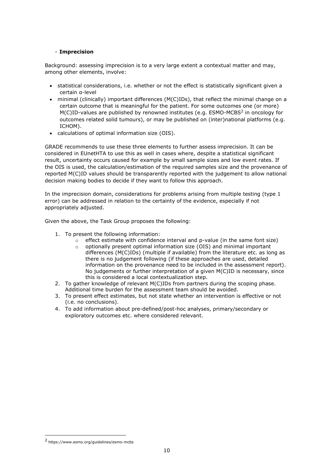#### - **Imprecision**

Background: assessing imprecision is to a very large extent a contextual matter and may, among other elements, involve:

- statistical considerations, i.e. whether or not the effect is statistically significant given a certain α-level
- minimal (clinically) important differences (M(C)IDs), that reflect the minimal change on a certain outcome that is meaningful for the patient. For some outcomes one (or more)  $M(C)$ ID-values are published by renowned institutes (e.g. ESMO-MCBS<sup>2</sup> in oncology for outcomes related solid tumours), or may be published on (inter)national platforms (e.g. ICHOM).
- calculations of optimal information size (OIS).

GRADE recommends to use these three elements to further assess imprecision. It can be considered in EUnetHTA to use this as well in cases where, despite a statistical significant result, uncertainty occurs caused for example by small sample sizes and low event rates. If the OIS is used, the calculation/estimation of the required samples size and the provenance of reported M(C)ID values should be transparently reported with the judgement to allow national decision making bodies to decide if they want to follow this approach.

In the imprecision domain, considerations for problems arising from multiple testing (type 1 error) can be addressed in relation to the certainty of the evidence, especially if not appropriately adjusted.

Given the above, the Task Group proposes the following:

- 1. To present the following information:
	- o effect estimate with confidence interval and p-value (in the same font size)
	- o optionally present optimal information size (OIS) and minimal important differences (M(C)IDs) (multiple if available) from the literature etc. as long as there is no judgement following (if these approaches are used, detailed information on the provenance need to be included in the assessment report). No judgements or further interpretation of a given M(C)ID is necessary, since this is considered a local contextualization step.
- 2. To gather knowledge of relevant M(C)IDs from partners during the scoping phase. Additional time burden for the assessment team should be avoided.
- 3. To present effect estimates, but not state whether an intervention is effective or not (i.e. no conclusions).
- 4. To add information about pre-defined/post-hoc analyses, primary/secondary or exploratory outcomes etc. where considered relevant.

<sup>2</sup> https://www.esmo.org/guidelines/esmo-mcbs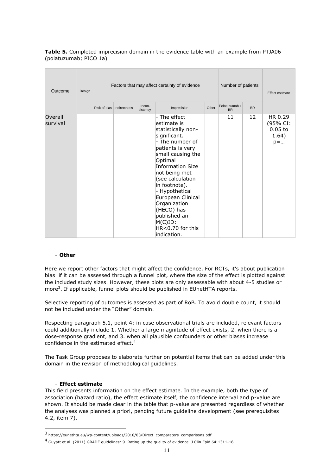**Table 5.** Completed imprecision domain in the evidence table with an example from PTJA06 (polatuzumab; PICO 1a)

| Outcome             | Design | Factors that may affect certainty of evidence |              |                    |                                                                                                                                                                                                                                                                                                                                                                     |       | Number of patients         | Effect estimate |                                                          |
|---------------------|--------|-----------------------------------------------|--------------|--------------------|---------------------------------------------------------------------------------------------------------------------------------------------------------------------------------------------------------------------------------------------------------------------------------------------------------------------------------------------------------------------|-------|----------------------------|-----------------|----------------------------------------------------------|
|                     |        | Risk of bias                                  | Indirectness | Incon-<br>sistency | Imprecision                                                                                                                                                                                                                                                                                                                                                         | Other | Polatuzumab +<br><b>BR</b> | <b>BR</b>       |                                                          |
| Overall<br>survival |        |                                               |              |                    | - The effect<br>estimate is<br>statistically non-<br>significant.<br>- The number of<br>patients is very<br>small causing the<br>Optimal<br><b>Information Size</b><br>not being met<br>(see calculation<br>in footnote).<br>- Hypothetical<br>European Clinical<br>Organization<br>(HECO) has<br>published an<br>$M(C)$ ID:<br>$HR < 0.70$ for this<br>indication. |       | 11                         | 12              | HR 0.29<br>(95% CI:<br>$0.05$ to<br>1.64)<br>$p = \dots$ |

#### - **Other**

Here we report other factors that might affect the confidence. For RCTs, it's about publication bias if it can be assessed through a funnel plot, where the size of the effect is plotted against the included study sizes. However, these plots are only assessable with about 4-5 studies or more<sup>3</sup>. If applicable, funnel plots should be published in EUnetHTA reports.

Selective reporting of outcomes is assessed as part of RoB. To avoid double count, it should not be included under the "Other" domain.

Respecting paragraph 5.1, point 4; in case observational trials are included, relevant factors could additionally include 1. Whether a large magnitude of effect exists, 2. when there is a dose-response gradient, and 3. when all plausible confounders or other biases increase confidence in the estimated effect.<sup>4</sup>

The Task Group proposes to elaborate further on potential items that can be added under this domain in the revision of methodological guidelines.

#### - **Effect estimate**

This field presents information on the effect estimate. In the example, both the type of association (hazard ratio), the effect estimate itself, the confidence interval and p-value are shown. It should be made clear in the table that p-value are presented regardless of whether the analyses was planned a priori, pending future guideline development (see prerequisites 4.2, item 7).

<sup>3</sup> https://eunethta.eu/wp-content/uploads/2018/03/Direct\_comparators\_comparisons.pdf

<sup>4</sup> Guyatt et al. (2011) GRADE guidelines: 9. Rating up the quality of evidence. J Clin Epid 64:1311-16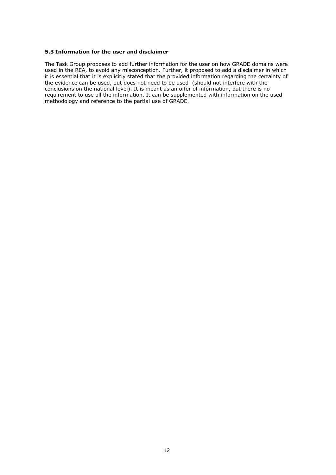#### <span id="page-11-0"></span>**5.3 Information for the user and disclaimer**

The Task Group proposes to add further information for the user on how GRADE domains were used in the REA, to avoid any misconception. Further, it proposed to add a disclaimer in which it is essential that it is explicitly stated that the provided information regarding the certainty of the evidence can be used, but does not need to be used (should not interfere with the conclusions on the national level). It is meant as an offer of information, but there is no requirement to use all the information. It can be supplemented with information on the used methodology and reference to the partial use of GRADE.